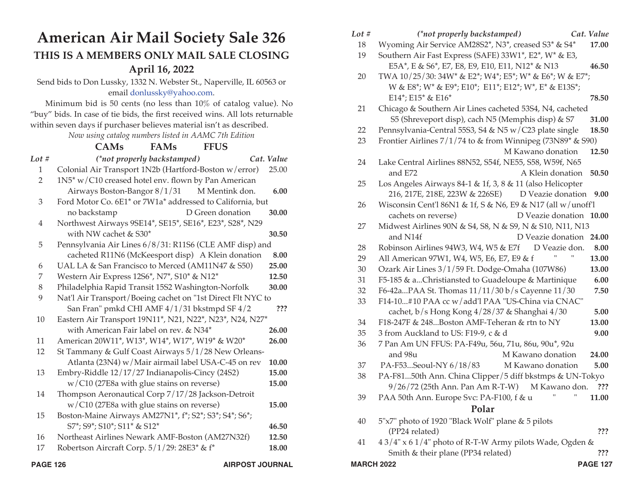## **American Air Mail Society Sale 326 THIS IS A MEMBERS ONLY MAIL SALE CLOSING April 16, 2022**

## **CAMs FAMs FFUS**

| Lot $#$        | (*not properly backstamped)                                 | Cat. Value |
|----------------|-------------------------------------------------------------|------------|
| 1              | Colonial Air Transport 1N2b (Hartford-Boston w/error)       | 25.00      |
| $\overline{2}$ | 1N5* w/C10 creased hotel env. flown by Pan American         |            |
|                | Airways Boston-Bangor 8/1/31<br>M Mentink don.              | 6.00       |
| 3              | Ford Motor Co. 6E1* or 7W1a* addressed to California, but   |            |
|                | D Green donation<br>no backstamp                            | 30.00      |
| 4              | Northwest Airways 9SE14*, SE15*, SE16*, E23*, S28*, N29     |            |
|                | with NW cachet & S30*                                       | 30.50      |
| 5              | Pennsylvania Air Lines 6/8/31: R11S6 (CLE AMF disp) and     |            |
|                | cacheted R11N6 (McKeesport disp) A Klein donation           | 8.00       |
| 6              | UAL LA & San Francisco to Merced (AM11N47 & S50)            | 25.00      |
| 7              | Western Air Express 12S6*, N7*, S10* & N12*                 | 12.50      |
| 8              | Philadelphia Rapid Transit 15S2 Washington-Norfolk          | 30.00      |
| 9              | Nat'l Air Transport/Boeing cachet on "1st Direct Flt NYC to |            |
|                | San Fran" pmkd CHI AMF 4/1/31 bkstmpd SF 4/2                | ???        |
| 10             | Eastern Air Transport 19N11*, N21, N22*, N23*, N24, N27*    |            |
|                | with American Fair label on rev. & N34*                     | 26.00      |
| 11             | American 20W11*, W13*, W14*, W17*, W19* & W20*              | 26.00      |
| 12             | St Tammany & Gulf Coast Airways 5/1/28 New Orleans-         |            |
|                | Atlanta (23N4) w/Mair airmail label USA-C-45 on rev         | 10.00      |
| 13             | Embry-Riddle 12/17/27 Indianapolis-Cincy (24S2)             | 15.00      |
|                | w/C10 (27E8a with glue stains on reverse)                   | 15.00      |
| 14             | Thompson Aeronautical Corp 7/17/28 Jackson-Detroit          |            |
|                | w/C10 (27E8a with glue stains on reverse)                   | 15.00      |
| 15             | Boston-Maine Airways AM27N1*, f*; S2*; S3*; S4*; S6*;       |            |
|                | S7*; S9*; S10*; S11* & S12*                                 | 46.50      |
| 16             | Northeast Airlines Newark AMF-Boston (AM27N32f)             | 12.50      |
| 17             | Robertson Aircraft Corp. 5/1/29: 28E3* & f*                 | 18.00      |
|                |                                                             |            |

| <b>American Air Mail Society Sale 326</b>                             |                                                                                                       |            | Lot $#$<br>18     | (*not properly backstamped)<br>Wyoming Air Service AM28S2*, N3*, creased S3* & S4*                                                                                      | Cat. Value<br>17.00         |
|-----------------------------------------------------------------------|-------------------------------------------------------------------------------------------------------|------------|-------------------|-------------------------------------------------------------------------------------------------------------------------------------------------------------------------|-----------------------------|
|                                                                       |                                                                                                       |            | 19                | Southern Air Fast Express (SAFE) 33W1*, E2*, W* & E3,                                                                                                                   |                             |
| THIS IS A MEMBERS ONLY MAIL SALE CLOSING                              |                                                                                                       |            |                   | E5A*, E & S6*, E7, E8, E9, E10, E11, N12* & N13                                                                                                                         | 46.50                       |
| April 16, 2022                                                        |                                                                                                       |            | 20                | TWA 10/25/30: 34W* & E2*; W4*; E5*; W* & E6*; W & E7*;                                                                                                                  |                             |
| Send bids to Don Lussky, 1332 N. Webster St., Naperville, IL 60563 or |                                                                                                       |            |                   | W & E8 <sup>*</sup> ; W <sup>*</sup> & E9 <sup>*</sup> ; E10 <sup>*</sup> ; E11 <sup>*</sup> ; E12 <sup>*</sup> ; W <sup>*</sup> , E <sup>*</sup> & E13S <sup>*</sup> ; |                             |
|                                                                       | email donlussky@yahoo.com.                                                                            |            |                   | E14*; E15* & E16*                                                                                                                                                       | 78.50                       |
|                                                                       | Minimum bid is 50 cents (no less than 10% of catalog value). No                                       |            | 21                | Chicago & Southern Air Lines cacheted 53S4, N4, cacheted                                                                                                                |                             |
|                                                                       | "buy" bids. In case of tie bids, the first received wins. All lots returnable                         |            |                   | S5 (Shreveport disp), cach N5 (Memphis disp) & S7                                                                                                                       | 31.00                       |
|                                                                       | within seven days if purchaser believes material isn't as described.                                  |            | 22                | Pennsylvania-Central 55S3, S4 & N5 w/C23 plate single                                                                                                                   | 18.50                       |
|                                                                       | Now using catalog numbers listed in AAMC 7th Edition                                                  |            | 23                | Frontier Airlines $7/1/74$ to & from Winnipeg (73N89* & S90)                                                                                                            |                             |
|                                                                       | <b>FFUS</b><br>CAMs<br><b>FAMs</b>                                                                    |            |                   | M Kawano donation                                                                                                                                                       | 12.50                       |
| Lot #                                                                 | (*not properly backstamped)                                                                           | Cat. Value | 24                | Lake Central Airlines 88N52, S54f, NE55, S58, W59f, N65                                                                                                                 |                             |
| 1                                                                     | Colonial Air Transport 1N2b (Hartford-Boston w/error)                                                 | 25.00      |                   | and E72<br>A Klein donation 50.50                                                                                                                                       |                             |
| $\overline{2}$                                                        | 1N5* w/C10 creased hotel env. flown by Pan American                                                   |            | 25                | Los Angeles Airways 84-1 & 1f, 3, 8 & 11 (also Helicopter                                                                                                               |                             |
|                                                                       | Airways Boston-Bangor 8/1/31<br>M Mentink don.                                                        | 6.00       |                   | 216, 217E, 218E, 223W & 226SE)<br>D Veazie donation 9.00                                                                                                                |                             |
| 3                                                                     | Ford Motor Co. 6E1* or 7W1a* addressed to California, but                                             |            | 26                | Wisconsin Cent'l 86N1 & 1f, S & N6, E9 & N17 (all w/unoff'l                                                                                                             |                             |
|                                                                       | no backstamp<br>D Green donation                                                                      | 30.00      |                   | cachets on reverse)<br>D Veazie donation 10.00                                                                                                                          |                             |
| 4                                                                     | Northwest Airways 9SE14*, SE15*, SE16*, E23*, S28*, N29                                               |            | 27                | Midwest Airlines 90N & S4, S8, N & S9, N & S10, N11, N13                                                                                                                |                             |
|                                                                       | with NW cachet & S30*                                                                                 | 30.50      |                   | and N14f<br>D Veazie donation 24.00                                                                                                                                     |                             |
| 5                                                                     | Pennsylvania Air Lines 6/8/31: R11S6 (CLE AMF disp) and                                               |            | 28                | Robinson Airlines 94W3, W4, W5 & E7f<br>D Veazie don.                                                                                                                   | 8.00                        |
|                                                                       | cacheted R11N6 (McKeesport disp) A Klein donation                                                     | 8.00       | 29                | All American 97W1, W4, W5, E6, E7, E9 & f                                                                                                                               | 13.00                       |
| 6                                                                     | UAL LA & San Francisco to Merced (AM11N47 & S50)                                                      | 25.00      | 30                | Ozark Air Lines 3/1/59 Ft. Dodge-Omaha (107W86)                                                                                                                         | 13.00                       |
| 7                                                                     | Western Air Express 12S6*, N7*, S10* & N12*                                                           | 12.50      | 31                | F5-185 & aChristiansted to Guadeloupe & Martinique                                                                                                                      | 6.00                        |
| 8                                                                     | Philadelphia Rapid Transit 15S2 Washington-Norfolk                                                    | 30.00      | 32                | F6-42aPAA St. Thomas 11/11/30 b/s Cayenne 11/30                                                                                                                         | 7.50                        |
| 9                                                                     | Nat'l Air Transport/Boeing cachet on "1st Direct Flt NYC to                                           |            | 33                | F14-10#10 PAA cc w/add'l PAA "US-China via CNAC"                                                                                                                        |                             |
|                                                                       | San Fran" pmkd CHI AMF 4/1/31 bkstmpd SF 4/2                                                          | ???        |                   | cachet, b/s Hong Kong 4/28/37 & Shanghai 4/30                                                                                                                           | 5.00                        |
| 10                                                                    | Eastern Air Transport 19N11*, N21, N22*, N23*, N24, N27*                                              |            | 34                | F18-247F & 248Boston AMF-Teheran & rtn to NY                                                                                                                            | 13.00                       |
|                                                                       | with American Fair label on rev. & N34*                                                               | 26.00      | 35                | 3 from Auckland to US: F19-9, c & d                                                                                                                                     | 9.00                        |
| 11<br>12                                                              | American 20W11*, W13*, W14*, W17*, W19* & W20*<br>St Tammany & Gulf Coast Airways 5/1/28 New Orleans- | 26.00      | 36                | 7 Pan Am UN FFUS: PA-F49u, 56u, 71u, 86u, 90u*, 92u                                                                                                                     |                             |
|                                                                       | Atlanta (23N4) w/Mair airmail label USA-C-45 on rev                                                   | 10.00      |                   | and 98u<br>M Kawano donation                                                                                                                                            | 24.00                       |
| 13                                                                    | Embry-Riddle 12/17/27 Indianapolis-Cincy (24S2)                                                       | 15.00      | 37                | PA-F53Seoul-NY 6/18/83<br>M Kawano donation                                                                                                                             | 5.00                        |
|                                                                       | $w/C10$ (27E8a with glue stains on reverse)                                                           | 15.00      | 38                | PA-F8150th Ann. China Clipper/5 diff bkstmps & UN-Tokyo                                                                                                                 |                             |
| 14                                                                    | Thompson Aeronautical Corp 7/17/28 Jackson-Detroit                                                    |            |                   | 9/26/72 (25th Ann. Pan Am R-T-W) M Kawano don. ???                                                                                                                      |                             |
|                                                                       | $w/C10$ (27E8a with glue stains on reverse)                                                           | 15.00      | 39                | $\pmb{\cdots}$<br>PAA 50th Ann. Europe Svc: PA-F100, f & u                                                                                                              | $\pmb{\mathsf{H}}$<br>11.00 |
| -15                                                                   | Boston-Maine Airways AM27N1*, f*; S2*; S3*; S4*; S6*;                                                 |            |                   | Polar                                                                                                                                                                   |                             |
|                                                                       | S7*; S9*; S10*; S11* & S12*                                                                           | 46.50      | 40                | 5"x7" photo of 1920 "Black Wolf" plane & 5 pilots                                                                                                                       |                             |
| 16                                                                    | Northeast Airlines Newark AMF-Boston (AM27N32f)                                                       | 12.50      |                   | (PP24 related)                                                                                                                                                          | ???                         |
| -17                                                                   | Robertson Aircraft Corp. 5/1/29: 28E3* & f*                                                           | 18.00      | 41                | 4 3/4" x 6 1/4" photo of R-T-W Army pilots Wade, Ogden &                                                                                                                |                             |
|                                                                       |                                                                                                       |            |                   | Smith & their plane (PP34 related)                                                                                                                                      | ???                         |
| <b>PAGE 126</b>                                                       | <b>AIRPOST JOURNAL</b>                                                                                |            | <b>MARCH 2022</b> |                                                                                                                                                                         | <b>PAGE 127</b>             |